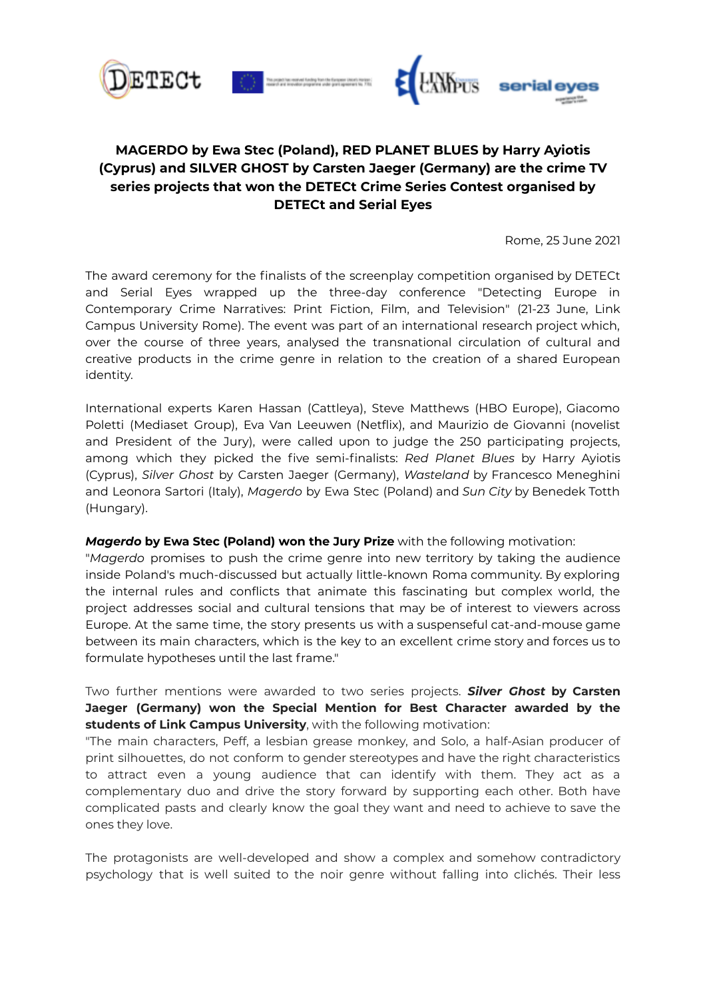





# **MAGERDO by Ewa Stec (Poland), RED PLANET BLUES by Harry Ayiotis (Cyprus) and SILVER GHOST by Carsten Jaeger (Germany) are the crime TV series projects that won the DETECt Crime Series Contest organised by DETECt and Serial Eyes**

Rome, 25 June 2021

The award ceremony for the finalists of the screenplay competition organised by DETECt and Serial Eyes wrapped up the three-day conference "Detecting Europe in Contemporary Crime Narratives: Print Fiction, Film, and Television" (21-23 June, Link Campus University Rome). The event was part of an international research project which, over the course of three years, analysed the transnational circulation of cultural and creative products in the crime genre in relation to the creation of a shared European identity.

International experts Karen Hassan (Cattleya), Steve Matthews (HBO Europe), Giacomo Poletti (Mediaset Group), Eva Van Leeuwen (Netflix), and Maurizio de Giovanni (novelist and President of the Jury), were called upon to judge the 250 participating projects, among which they picked the five semi-finalists: *Red Planet Blues* by Harry Ayiotis (Cyprus), *Silver Ghost* by Carsten Jaeger (Germany), *Wasteland* by Francesco Meneghini and Leonora Sartori (Italy), *Magerdo* by Ewa Stec (Poland) and *Sun City* by Benedek Totth (Hungary).

#### *Magerdo* **by Ewa Stec (Poland) won the Jury Prize** with the following motivation:

"*Magerdo* promises to push the crime genre into new territory by taking the audience inside Poland's much-discussed but actually little-known Roma community. By exploring the internal rules and conflicts that animate this fascinating but complex world, the project addresses social and cultural tensions that may be of interest to viewers across Europe. At the same time, the story presents us with a suspenseful cat-and-mouse game between its main characters, which is the key to an excellent crime story and forces us to formulate hypotheses until the last frame."

Two further mentions were awarded to two series projects. *Silver Ghost* **by Carsten Jaeger (Germany) won the Special Mention for Best Character awarded by the students of Link Campus University**, with the following motivation:

"The main characters, Peff, a lesbian grease monkey, and Solo, a half-Asian producer of print silhouettes, do not conform to gender stereotypes and have the right characteristics to attract even a young audience that can identify with them. They act as a complementary duo and drive the story forward by supporting each other. Both have complicated pasts and clearly know the goal they want and need to achieve to save the ones they love.

The protagonists are well-developed and show a complex and somehow contradictory psychology that is well suited to the noir genre without falling into clichés. Their less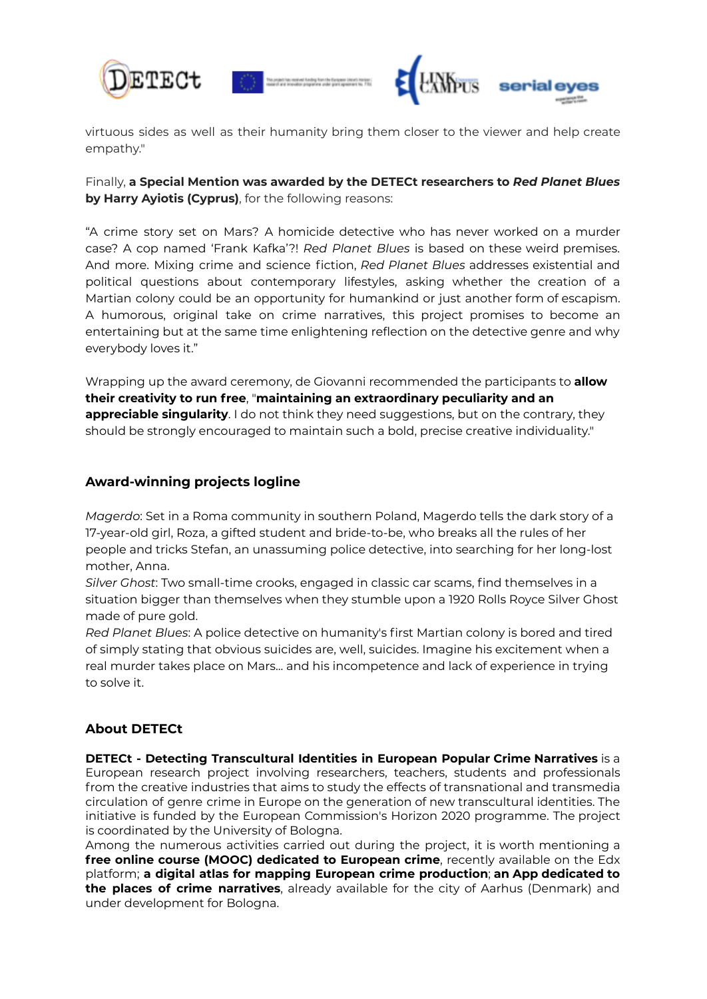



virtuous sides as well as their humanity bring them closer to the viewer and help create empathy."

Finally, **a Special Mention was awarded by the DETECt researchers to** *Red Planet Blues* **by Harry Ayiotis (Cyprus)**, for the following reasons:

"A crime story set on Mars? A homicide detective who has never worked on a murder case? A cop named 'Frank Kafka'?! *Red Planet Blues* is based on these weird premises. And more. Mixing crime and science fiction, *Red Planet Blues* addresses existential and political questions about contemporary lifestyles, asking whether the creation of a Martian colony could be an opportunity for humankind or just another form of escapism. A humorous, original take on crime narratives, this project promises to become an entertaining but at the same time enlightening reflection on the detective genre and why everybody loves it."

Wrapping up the award ceremony, de Giovanni recommended the participants to **allow their creativity to run free**, "**maintaining an extraordinary peculiarity and an appreciable singularity**. I do not think they need suggestions, but on the contrary, they should be strongly encouraged to maintain such a bold, precise creative individuality."

### **Award-winning projects logline**

*Magerdo*: Set in a Roma community in southern Poland, Magerdo tells the dark story of a 17-year-old girl, Roza, a gifted student and bride-to-be, who breaks all the rules of her people and tricks Stefan, an unassuming police detective, into searching for her long-lost mother, Anna.

*Silver Ghost*: Two small-time crooks, engaged in classic car scams, find themselves in a situation bigger than themselves when they stumble upon a 1920 Rolls Royce Silver Ghost made of pure gold.

*Red Planet Blues*: A police detective on humanity's first Martian colony is bored and tired of simply stating that obvious suicides are, well, suicides. Imagine his excitement when a real murder takes place on Mars... and his incompetence and lack of experience in trying to solve it.

## **About DETECt**

**DETECt - Detecting Transcultural Identities in European Popular Crime Narratives** is a European research project involving researchers, teachers, students and professionals from the creative industries that aims to study the effects of transnational and transmedia circulation of genre crime in Europe on the generation of new transcultural identities. The initiative is funded by the European Commission's Horizon 2020 programme. The project is coordinated by the University of Bologna.

Among the numerous activities carried out during the project, it is worth mentioning a **free online course (MOOC) dedicated to European crime**, recently available on the Edx platform; **a digital atlas for mapping European crime production**; **an App dedicated to the places of crime narratives**, already available for the city of Aarhus (Denmark) and under development for Bologna.